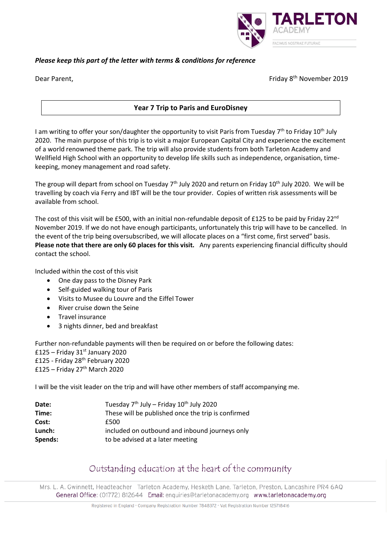

# *Please keep this part of the letter with terms & conditions for reference*

Dear Parent, **Example 2019** Channels Construction of the Second State of the Second State Second State Second State Second State Second State Second State Second State Second State Second State Second State Second State Se

# **Year 7 Trip to Paris and EuroDisney**

I am writing to offer your son/daughter the opportunity to visit Paris from Tuesday 7<sup>th</sup> to Friday 10<sup>th</sup> July 2020. The main purpose of this trip is to visit a major European Capital City and experience the excitement of a world renowned theme park. The trip will also provide students from both Tarleton Academy and Wellfield High School with an opportunity to develop life skills such as independence, organisation, timekeeping, money management and road safety.

The group will depart from school on Tuesday  $7<sup>th</sup>$  July 2020 and return on Friday 10<sup>th</sup> July 2020. We will be travelling by coach via Ferry and IBT will be the tour provider. Copies of written risk assessments will be available from school.

The cost of this visit will be £500, with an initial non-refundable deposit of £125 to be paid by Friday 22<sup>nd</sup> November 2019. If we do not have enough participants, unfortunately this trip will have to be cancelled. In the event of the trip being oversubscribed, we will allocate places on a "first come, first served" basis. **Please note that there are only 60 places for this visit.** Any parents experiencing financial difficulty should contact the school.

Included within the cost of this visit

- One day pass to the Disney Park
- Self-guided walking tour of Paris
- Visits to Musee du Louvre and the Eiffel Tower
- River cruise down the Seine
- Travel insurance
- 3 nights dinner, bed and breakfast

Further non-refundable payments will then be required on or before the following dates:  $£125 - Friday 31<sup>st</sup> January 2020$ £125 - Friday 28 th February 2020  $£125 - Friday 27<sup>th</sup> March 2020$ 

I will be the visit leader on the trip and will have other members of staff accompanying me.

| Date:   | Tuesday $7th$ July – Friday $10th$ July 2020       |
|---------|----------------------------------------------------|
| Time:   | These will be published once the trip is confirmed |
| Cost:   | £500                                               |
| Lunch:  | included on outbound and inbound journeys only     |
| Spends: | to be advised at a later meeting                   |

# Outstanding education at the heart of the community

Mrs. L. A. Gwinnett, Headteacher Tarleton Academy, Hesketh Lane, Tarleton, Preston, Lancashire PR4 6AQ General Office: (01772) 812644 Email: enquiries@tarletonacademy.org www.tarletonacademy.org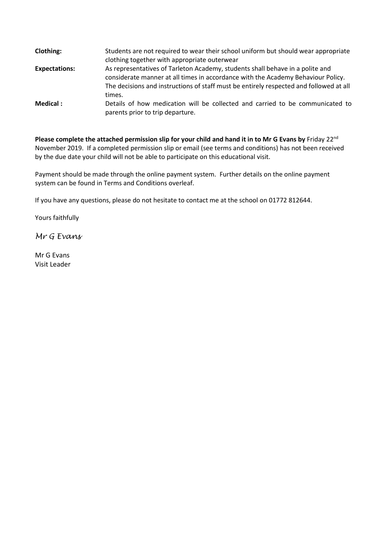| Clothing:            | Students are not required to wear their school uniform but should wear appropriate                                                                                |
|----------------------|-------------------------------------------------------------------------------------------------------------------------------------------------------------------|
|                      | clothing together with appropriate outerwear                                                                                                                      |
| <b>Expectations:</b> | As representatives of Tarleton Academy, students shall behave in a polite and<br>considerate manner at all times in accordance with the Academy Behaviour Policy. |
|                      | The decisions and instructions of staff must be entirely respected and followed at all<br>times.                                                                  |
| <b>Medical:</b>      | Details of how medication will be collected and carried to be communicated to<br>parents prior to trip departure.                                                 |

**Please complete the attached permission slip for your child and hand it in to Mr G Evans by** Friday 22nd November 2019. If a completed permission slip or email (see terms and conditions) has not been received by the due date your child will not be able to participate on this educational visit.

Payment should be made through the online payment system. Further details on the online payment system can be found in Terms and Conditions overleaf.

If you have any questions, please do not hesitate to contact me at the school on 01772 812644.

Yours faithfully

*Mr G Evans*

Mr G Evans Visit Leader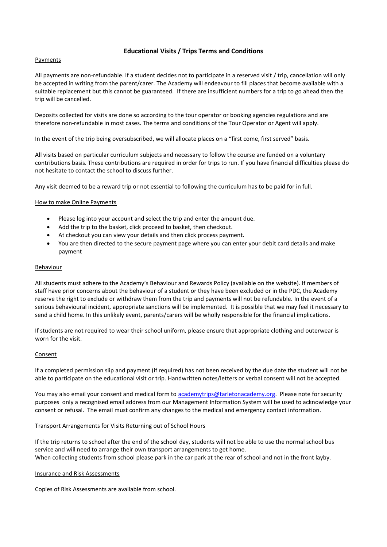## **Educational Visits / Trips Terms and Conditions**

#### **Payments**

All payments are non-refundable. If a student decides not to participate in a reserved visit / trip, cancellation will only be accepted in writing from the parent/carer. The Academy will endeavour to fill places that become available with a suitable replacement but this cannot be guaranteed. If there are insufficient numbers for a trip to go ahead then the trip will be cancelled.

Deposits collected for visits are done so according to the tour operator or booking agencies regulations and are therefore non-refundable in most cases. The terms and conditions of the Tour Operator or Agent will apply.

In the event of the trip being oversubscribed, we will allocate places on a "first come, first served" basis.

All visits based on particular curriculum subjects and necessary to follow the course are funded on a voluntary contributions basis. These contributions are required in order for trips to run. If you have financial difficulties please do not hesitate to contact the school to discuss further.

Any visit deemed to be a reward trip or not essential to following the curriculum has to be paid for in full.

## How to make Online Payments

- Please log into your account and select the trip and enter the amount due.
- Add the trip to the basket, click proceed to basket, then checkout.
- At checkout you can view your details and then click process payment.
- You are then directed to the secure payment page where you can enter your debit card details and make payment

#### Behaviour

All students must adhere to the Academy's Behaviour and Rewards Policy (available on the website). If members of staff have prior concerns about the behaviour of a student or they have been excluded or in the PDC, the Academy reserve the right to exclude or withdraw them from the trip and payments will not be refundable. In the event of a serious behavioural incident, appropriate sanctions will be implemented. It is possible that we may feel it necessary to send a child home. In this unlikely event, parents/carers will be wholly responsible for the financial implications.

If students are not required to wear their school uniform, please ensure that appropriate clothing and outerwear is worn for the visit.

#### **Consent**

If a completed permission slip and payment (if required) has not been received by the due date the student will not be able to participate on the educational visit or trip. Handwritten notes/letters or verbal consent will not be accepted.

You may also email your consent and medical form to [academytrips@tarletonacademy.org.](mailto:academytrips@tarletonacademy.org) Please note for security purposes only a recognised email address from our Management Information System will be used to acknowledge your consent or refusal. The email must confirm any changes to the medical and emergency contact information.

#### Transport Arrangements for Visits Returning out of School Hours

If the trip returns to school after the end of the school day, students will not be able to use the normal school bus service and will need to arrange their own transport arrangements to get home. When collecting students from school please park in the car park at the rear of school and not in the front layby.

#### Insurance and Risk Assessments

Copies of Risk Assessments are available from school.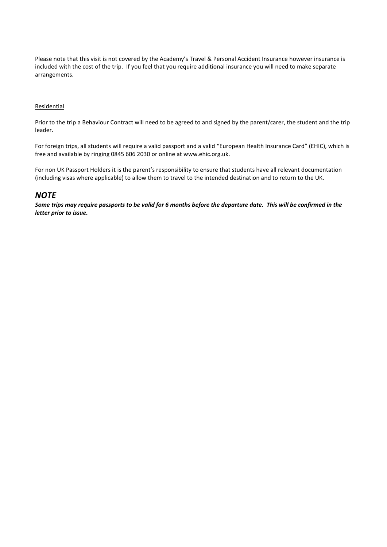Please note that this visit is not covered by the Academy's Travel & Personal Accident Insurance however insurance is included with the cost of the trip. If you feel that you require additional insurance you will need to make separate arrangements.

## **Residential**

Prior to the trip a Behaviour Contract will need to be agreed to and signed by the parent/carer, the student and the trip leader.

For foreign trips, all students will require a valid passport and a valid "European Health Insurance Card" (EHIC), which is free and available by ringing 0845 606 2030 or online a[t www.ehic.org.uk.](http://www.ehic.org.uk/)

For non UK Passport Holders it is the parent's responsibility to ensure that students have all relevant documentation (including visas where applicable) to allow them to travel to the intended destination and to return to the UK.

# *NOTE*

*Some trips may require passports to be valid for 6 months before the departure date. This will be confirmed in the letter prior to issue.*